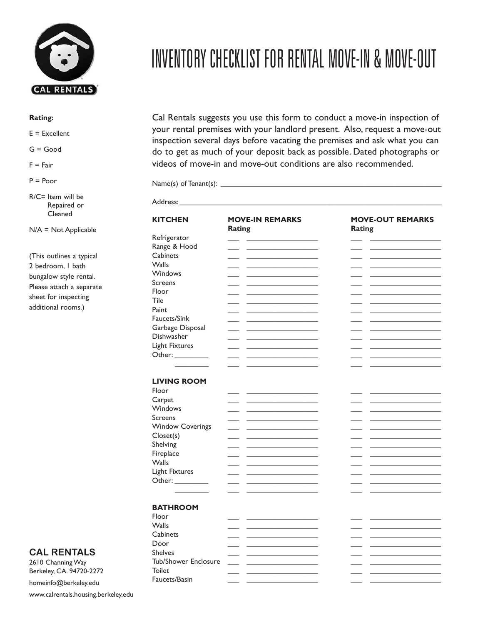

## **Rating:**

 $E = Excellent$ 

G = Good

 $F = Fair$ 

 $P = Poor$ 

R/C= Item will be Repaired or Cleaned

N/A = Not Applicable

(This outlines a typical 2 bedroom, 1 bath bungalow style rental. Please attach a separate sheet for inspecting additional rooms.)

## **CAL RENTALS**

2610 Channing Way Berkeley, CA. 94720-2272

homeinfo@berkeley.edu www.calrentals.housing.berkeley.edu

## INVENTORY CHECKLIST FOR RENTAL MOVE-IN & MOVE-OUT

Cal Rentals suggests you use this form to conduct a move-in inspection of your rental premises with your landlord present. Also, request a move-out inspection several days before vacating the premises and ask what you can do to get as much of your deposit back as possible. Dated photographs or videos of move-in and move-out conditions are also recommended.

Address:\_\_\_\_\_\_\_\_\_\_\_\_\_\_\_\_\_\_\_\_\_\_\_\_\_\_\_\_\_\_\_\_\_\_\_\_\_\_\_\_\_\_\_\_\_\_\_\_\_\_\_\_\_\_\_\_\_\_\_\_\_\_\_\_\_\_\_\_\_\_

Name(s) of Tenant(s): \_\_\_\_\_\_\_\_\_\_\_\_\_\_\_\_\_\_\_\_\_\_\_\_\_\_\_\_\_\_\_\_\_\_\_\_\_\_\_\_\_\_\_\_\_\_\_\_\_\_\_\_\_\_\_\_\_\_\_

| <b>KITCHEN</b>          | <b>MOVE-IN REMARKS</b><br><b>Rating</b> | <b>MOVE-OUT REMARKS</b><br>Rating |
|-------------------------|-----------------------------------------|-----------------------------------|
| Refrigerator            |                                         |                                   |
| Range & Hood            |                                         |                                   |
| Cabinets                |                                         |                                   |
| <b>Walls</b>            |                                         |                                   |
| Windows                 |                                         |                                   |
|                         |                                         |                                   |
| <b>Screens</b>          |                                         |                                   |
| Floor                   |                                         |                                   |
| Tile                    |                                         |                                   |
| Paint                   |                                         |                                   |
| Faucets/Sink            |                                         |                                   |
| Garbage Disposal        |                                         |                                   |
| Dishwasher              |                                         |                                   |
| <b>Light Fixtures</b>   |                                         |                                   |
| Other: _________        |                                         |                                   |
|                         |                                         |                                   |
|                         |                                         |                                   |
|                         |                                         |                                   |
| <b>LIVING ROOM</b>      |                                         |                                   |
| Floor                   |                                         |                                   |
| Carpet                  |                                         |                                   |
| Windows                 |                                         |                                   |
| Screens                 |                                         |                                   |
| <b>Window Coverings</b> |                                         |                                   |
| Closet(s)               |                                         |                                   |
| Shelving                |                                         |                                   |
| Fireplace               |                                         |                                   |
| <b>Walls</b>            |                                         |                                   |
|                         |                                         |                                   |
| Light Fixtures          |                                         |                                   |
| Other: __________       |                                         |                                   |
|                         |                                         |                                   |
|                         |                                         |                                   |
| <b>BATHROOM</b>         |                                         |                                   |
| Floor                   |                                         |                                   |
| <b>Walls</b>            |                                         |                                   |
| Cabinets                |                                         |                                   |
| Door                    |                                         |                                   |
| <b>Shelves</b>          |                                         |                                   |
| Tub/Shower Enclosure    |                                         |                                   |
|                         |                                         |                                   |
| <b>Toilet</b>           |                                         |                                   |
| Faucets/Basin           |                                         |                                   |